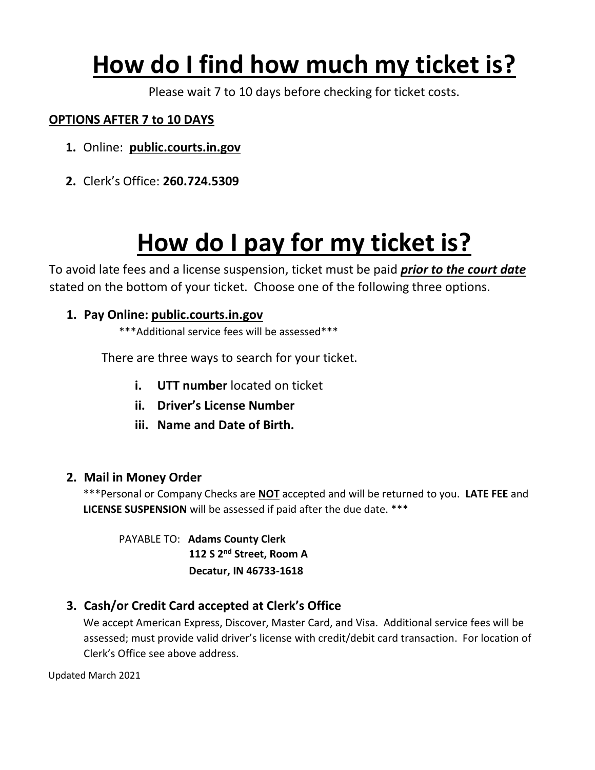### **How do I find how much my ticket is?**

Please wait 7 to 10 days before checking for ticket costs.

#### **OPTIONS AFTER 7 to 10 DAYS**

- **1.** Online: **public.courts.in.gov**
- **2.** Clerk's Office: **260.724.5309**

### **How do I pay for my ticket is?**

To avoid late fees and a license suspension, ticket must be paid *prior to the court date* stated on the bottom of your ticket. Choose one of the following three options.

#### **1. Pay Online: public.courts.in.gov**

\*\*\*Additional service fees will be assessed\*\*\*

There are three ways to search for your ticket.

- **i. UTT number** located on ticket
- **ii. Driver's License Number**
- **iii. Name and Date of Birth.**

#### **2. Mail in Money Order**

\*\*\*Personal or Company Checks are **NOT** accepted and will be returned to you. **LATE FEE** and **LICENSE SUSPENSION** will be assessed if paid after the due date. \*\*\*

PAYABLE TO: **Adams County Clerk 112 S 2nd Street, Room A Decatur, IN 46733-1618**

#### **3. Cash/or Credit Card accepted at Clerk's Office**

We accept American Express, Discover, Master Card, and Visa. Additional service fees will be assessed; must provide valid driver's license with credit/debit card transaction. For location of Clerk's Office see above address.

Updated March 2021